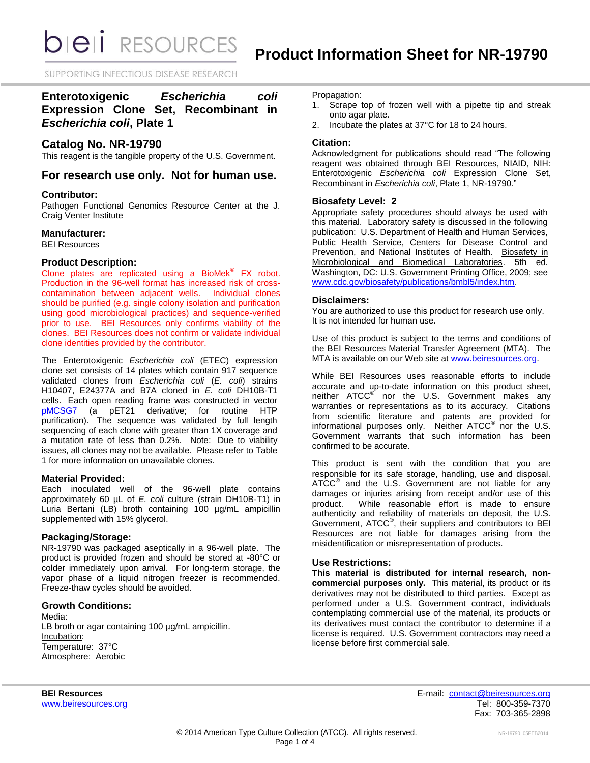SUPPORTING INFECTIOUS DISEASE RESEARCH

# **Enterotoxigenic** *Escherichia coli* **Expression Clone Set, Recombinant in**  *Escherichia coli***, Plate 1**

## **Catalog No. NR-19790**

This reagent is the tangible property of the U.S. Government.

## **For research use only. Not for human use.**

#### **Contributor:**

Pathogen Functional Genomics Resource Center at the J. Craig Venter Institute

#### **Manufacturer:**

BEI Resources

## **Product Description:**

Clone plates are replicated using a BioMe $k^{\circledast}$  FX robot. Production in the 96-well format has increased risk of crosscontamination between adjacent wells. Individual clones should be purified (e.g. single colony isolation and purification using good microbiological practices) and sequence-verified prior to use. BEI Resources only confirms viability of the clones. BEI Resources does not confirm or validate individual clone identities provided by the contributor.

The Enterotoxigenic *Escherichia coli* (ETEC) expression clone set consists of 14 plates which contain 917 sequence validated clones from *Escherichia coli* (*E. coli*) strains H10407, E24377A and B7A cloned in *E. coli* DH10B-T1 cells. Each open reading frame was constructed in vector [pMCSG7](http://plasmid.med.harvard.edu/PLASMID/GetVectorDetail.do?vectorid=367) (a pET21 derivative; for routine HTP purification). The sequence was validated by full length sequencing of each clone with greater than 1X coverage and a mutation rate of less than 0.2%. Note: Due to viability issues, all clones may not be available. Please refer to Table 1 for more information on unavailable clones.

#### **Material Provided:**

Each inoculated well of the 96-well plate contains approximately 60 µL of *E. coli* culture (strain DH10B-T1) in Luria Bertani (LB) broth containing 100 µg/mL ampicillin supplemented with 15% glycerol.

## **Packaging/Storage:**

NR-19790 was packaged aseptically in a 96-well plate. The product is provided frozen and should be stored at -80°C or colder immediately upon arrival. For long-term storage, the vapor phase of a liquid nitrogen freezer is recommended. Freeze-thaw cycles should be avoided.

## **Growth Conditions:**

Media: LB broth or agar containing 100 µg/mL ampicillin. Incubation: Temperature: 37°C Atmosphere: Aerobic

#### Propagation:

- 1. Scrape top of frozen well with a pipette tip and streak onto agar plate.
- 2. Incubate the plates at 37°C for 18 to 24 hours.

## **Citation:**

Acknowledgment for publications should read "The following reagent was obtained through BEI Resources, NIAID, NIH: Enterotoxigenic *Escherichia coli* Expression Clone Set, Recombinant in *Escherichia coli*, Plate 1, NR-19790."

## **Biosafety Level: 2**

Appropriate safety procedures should always be used with this material. Laboratory safety is discussed in the following publication: U.S. Department of Health and Human Services, Public Health Service, Centers for Disease Control and Prevention, and National Institutes of Health. Biosafety in Microbiological and Biomedical Laboratories. 5th ed. Washington, DC: U.S. Government Printing Office, 2009; see [www.cdc.gov/biosafety/publications/bmbl5/index.htm.](http://www.cdc.gov/biosafety/publications/bmbl5/index.htm)

#### **Disclaimers:**

You are authorized to use this product for research use only. It is not intended for human use.

Use of this product is subject to the terms and conditions of the BEI Resources Material Transfer Agreement (MTA). The MTA is available on our Web site at [www.beiresources.org.](http://www.beiresources.org/)

While BEI Resources uses reasonable efforts to include accurate and up-to-date information on this product sheet, neither ATCC<sup>®'</sup> nor the U.S. Government makes any warranties or representations as to its accuracy. Citations from scientific literature and patents are provided for informational purposes only. Neither ATCC® nor the U.S. Government warrants that such information has been confirmed to be accurate.

This product is sent with the condition that you are responsible for its safe storage, handling, use and disposal. ATCC<sup>®</sup> and the U.S. Government are not liable for any damages or injuries arising from receipt and/or use of this product. While reasonable effort is made to ensure authenticity and reliability of materials on deposit, the U.S. Government, ATCC<sup>®</sup>, their suppliers and contributors to BEI Resources are not liable for damages arising from the misidentification or misrepresentation of products.

## **Use Restrictions:**

**This material is distributed for internal research, noncommercial purposes only.** This material, its product or its derivatives may not be distributed to third parties. Except as performed under a U.S. Government contract, individuals contemplating commercial use of the material, its products or its derivatives must contact the contributor to determine if a license is required. U.S. Government contractors may need a license before first commercial sale.

**BEI Resources** E-mail: [contact@beiresources.org](mailto:contact@beiresources.org) [www.beiresources.org](http://www.beiresources.org/) **Tel: 800-359-7370** Fax: 703-365-2898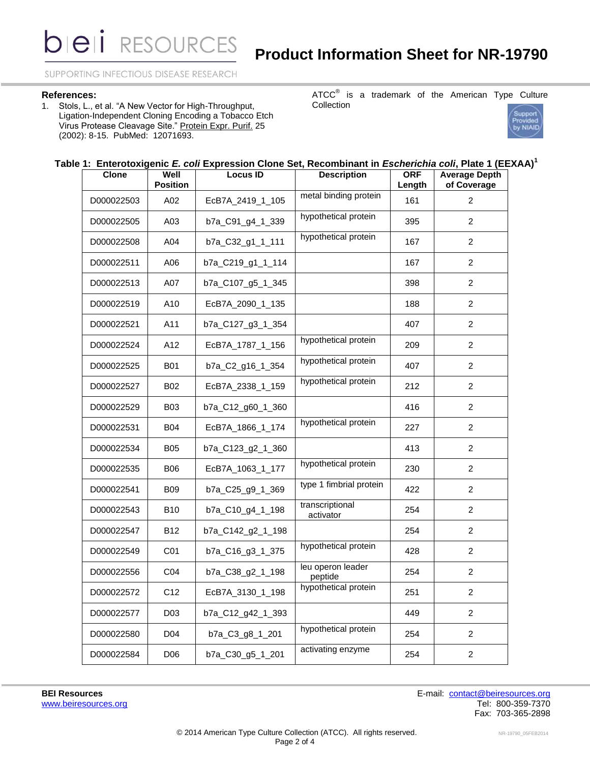SUPPORTING INFECTIOUS DISEASE RESEARCH

#### **References:**

1. Stols, L., et al. "A New Vector for High-Throughput, Ligation-Independent Cloning Encoding a Tobacco Etch Virus Protease Cleavage Site." Protein Expr. Purif. 25 (2002): 8-15. PubMed: 12071693.

ATCC $^{\circ}$  is a trademark of the American Type Culture Collection



# **Table 1: Enterotoxigenic** *E. coli* **Expression Clone Set, Recombinant in** *Escherichia coli***, Plate 1 (EEXAA) 1**

| <b>Clone</b> | Well<br><b>Position</b> | <b>Locus ID</b>   | <b>Description</b>           | <b>ORF</b><br>Length | <b>Average Depth</b><br>of Coverage |
|--------------|-------------------------|-------------------|------------------------------|----------------------|-------------------------------------|
| D000022503   | A02                     | EcB7A_2419_1_105  | metal binding protein        | 161                  | $\overline{2}$                      |
| D000022505   | A03                     | b7a_C91_g4_1_339  | hypothetical protein         | 395                  | 2                                   |
| D000022508   | A04                     | b7a_C32_g1_1_111  | hypothetical protein         | 167                  | $\overline{2}$                      |
| D000022511   | A06                     | b7a_C219_g1_1_114 |                              | 167                  | $\overline{2}$                      |
| D000022513   | A07                     | b7a C107 g5 1 345 |                              | 398                  | $\overline{2}$                      |
| D000022519   | A10                     | EcB7A 2090 1 135  |                              | 188                  | $\overline{2}$                      |
| D000022521   | A11                     | b7a_C127_g3_1_354 |                              | 407                  | 2                                   |
| D000022524   | A12                     | EcB7A 1787 1 156  | hypothetical protein         | 209                  | $\overline{2}$                      |
| D000022525   | <b>B01</b>              | b7a_C2_g16_1_354  | hypothetical protein         | 407                  | $\overline{2}$                      |
| D000022527   | <b>B02</b>              | EcB7A_2338_1_159  | hypothetical protein         | 212                  | $\overline{2}$                      |
| D000022529   | <b>B03</b>              | b7a_C12_g60_1_360 |                              | 416                  | $\overline{2}$                      |
| D000022531   | <b>B04</b>              | EcB7A_1866_1_174  | hypothetical protein         | 227                  | $\overline{2}$                      |
| D000022534   | <b>B05</b>              | b7a_C123_g2_1_360 |                              | 413                  | $\overline{2}$                      |
| D000022535   | <b>B06</b>              | EcB7A_1063_1_177  | hypothetical protein         | 230                  | 2                                   |
| D000022541   | <b>B09</b>              | b7a_C25_g9_1_369  | type 1 fimbrial protein      | 422                  | $\overline{2}$                      |
| D000022543   | <b>B10</b>              | b7a_C10_g4_1_198  | transcriptional<br>activator | 254                  | $\overline{2}$                      |
| D000022547   | <b>B12</b>              | b7a_C142_g2_1_198 |                              | 254                  | $\overline{2}$                      |
| D000022549   | C01                     | b7a_C16_g3_1_375  | hypothetical protein         | 428                  | $\overline{2}$                      |
| D000022556   | CO <sub>4</sub>         | b7a_C38_g2_1_198  | leu operon leader<br>peptide | 254                  | 2                                   |
| D000022572   | C <sub>12</sub>         | EcB7A_3130_1_198  | hypothetical protein         | 251                  | $\overline{2}$                      |
| D000022577   | D <sub>0</sub> 3        | b7a_C12_g42_1_393 |                              | 449                  | $\overline{2}$                      |
| D000022580   | D04                     | b7a_C3_g8_1_201   | hypothetical protein         | 254                  | $\overline{2}$                      |
| D000022584   | D <sub>06</sub>         | b7a_C30_g5_1_201  | activating enzyme            | 254                  | 2                                   |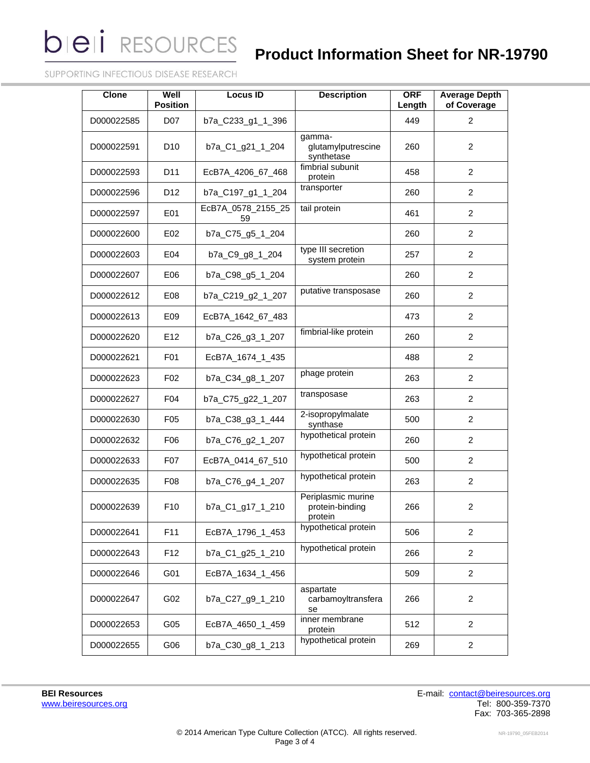# **Product Information Sheet for NR-19790**

SUPPORTING INFECTIOUS DISEASE RESEARCH

| <b>Clone</b> | Well<br><b>Position</b> | <b>Locus ID</b>          | <b>Description</b>                               | <b>ORF</b><br>Length | <b>Average Depth</b><br>of Coverage |
|--------------|-------------------------|--------------------------|--------------------------------------------------|----------------------|-------------------------------------|
| D000022585   | D <sub>07</sub>         | b7a_C233_g1_1_396        |                                                  | 449                  | 2                                   |
| D000022591   | D <sub>10</sub>         | b7a_C1_g21_1_204         | gamma-<br>glutamylputrescine<br>synthetase       | 260                  | 2                                   |
| D000022593   | D11                     | EcB7A_4206_67_468        | fimbrial subunit<br>protein                      | 458                  | $\overline{2}$                      |
| D000022596   | D <sub>12</sub>         | b7a_C197_g1_1_204        | transporter                                      | 260                  | $\overline{2}$                      |
| D000022597   | E01                     | EcB7A_0578_2155_25<br>59 | tail protein                                     | 461                  | 2                                   |
| D000022600   | E02                     | b7a_C75_g5_1_204         |                                                  | 260                  | $\overline{c}$                      |
| D000022603   | E04                     | b7a_C9_g8_1_204          | type III secretion<br>system protein             | 257                  | 2                                   |
| D000022607   | E06                     | b7a_C98_g5_1_204         |                                                  | 260                  | 2                                   |
| D000022612   | E08                     | b7a_C219_g2_1_207        | putative transposase                             | 260                  | 2                                   |
| D000022613   | E09                     | EcB7A_1642_67_483        |                                                  | 473                  | $\overline{c}$                      |
| D000022620   | E12                     | b7a_C26_g3_1_207         | fimbrial-like protein                            | 260                  | $\overline{2}$                      |
| D000022621   | F01                     | EcB7A_1674_1_435         |                                                  | 488                  | 2                                   |
| D000022623   | F02                     | b7a_C34_g8_1_207         | phage protein                                    | 263                  | 2                                   |
| D000022627   | F04                     | b7a_C75_g22_1_207        | transposase                                      | 263                  | $\overline{c}$                      |
| D000022630   | F05                     | b7a_C38_g3_1_444         | 2-isopropylmalate<br>synthase                    | 500                  | 2                                   |
| D000022632   | F06                     | b7a_C76_g2_1_207         | hypothetical protein                             | 260                  | 2                                   |
| D000022633   | F <sub>0</sub> 7        | EcB7A 0414_67_510        | hypothetical protein                             | 500                  | $\overline{c}$                      |
| D000022635   | F <sub>08</sub>         | b7a_C76_g4_1_207         | hypothetical protein                             | 263                  | $\overline{2}$                      |
| D000022639   | F <sub>10</sub>         | b7a_C1_g17_1_210         | Periplasmic murine<br>protein-binding<br>protein | 266                  | 2                                   |
| D000022641   | F11                     | EcB7A_1796_1_453         | hypothetical protein                             | 506                  | 2                                   |
| D000022643   | F12                     | b7a_C1_g25_1_210         | hypothetical protein                             | 266                  | $\overline{2}$                      |
| D000022646   | G01                     | EcB7A_1634_1_456         |                                                  | 509                  | $\overline{c}$                      |
| D000022647   | G02                     | b7a_C27_g9_1_210         | aspartate<br>carbamoyltransfera<br>se            | 266                  | $\overline{c}$                      |
| D000022653   | G05                     | EcB7A_4650_1_459         | inner membrane<br>protein                        | 512                  | $\overline{2}$                      |
| D000022655   | G06                     | b7a_C30_g8_1_213         | hypothetical protein                             | 269                  | $\overline{c}$                      |